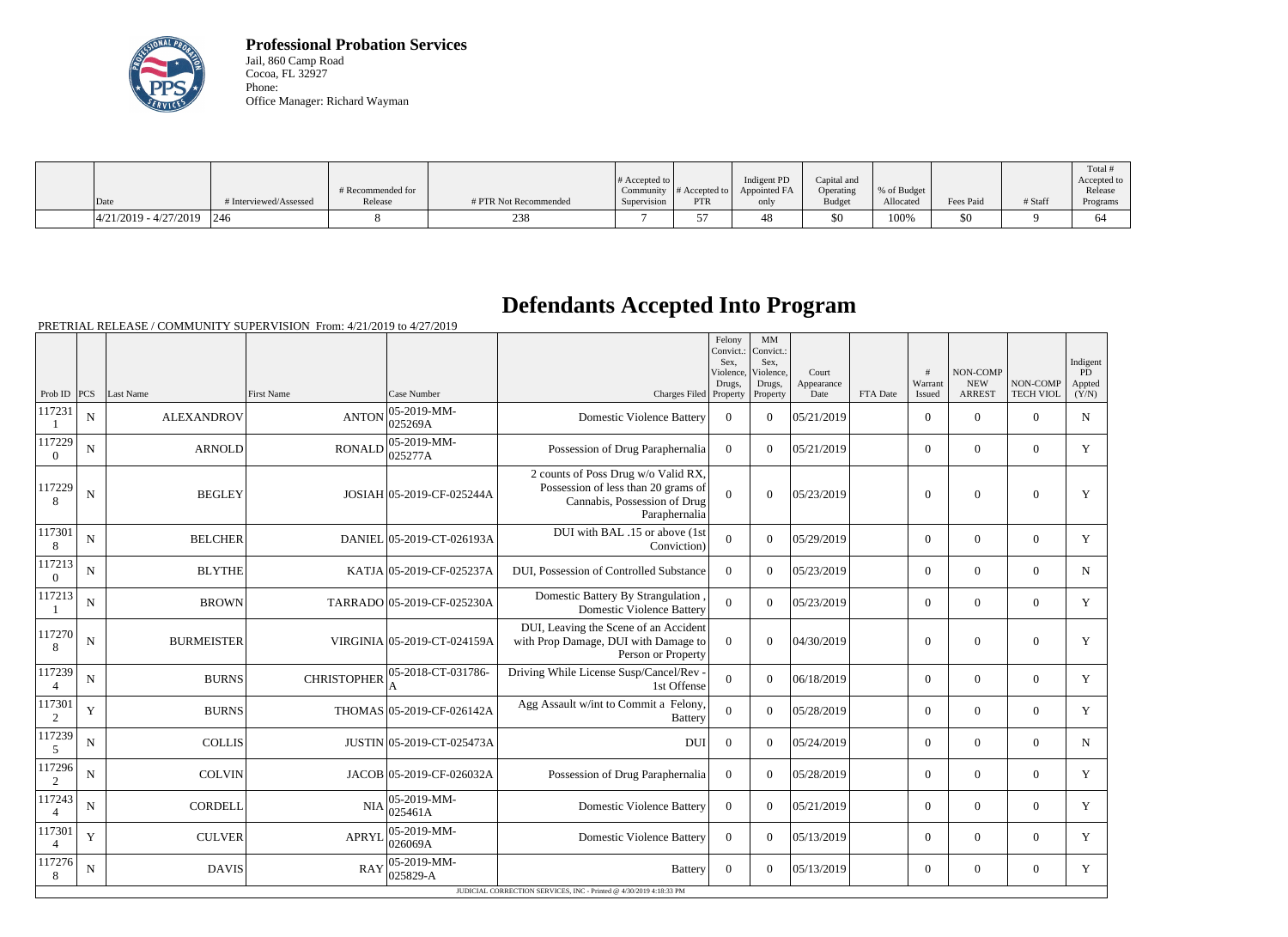

**Professional Probation Services** Jail, 860 Camp Road Cocoa, FL 32927 Phone: Office Manager: Richard Wayman

|                               |                        |                   |                       |                       |               |              |               |             |           |         | Total #     |
|-------------------------------|------------------------|-------------------|-----------------------|-----------------------|---------------|--------------|---------------|-------------|-----------|---------|-------------|
|                               |                        |                   |                       | # Accepted to $\vert$ |               | Indigent PD  | Capital and   |             |           |         | Accepted to |
|                               |                        | # Recommended for |                       | Community             | # Accepted to | Appointed FA | Operating     | % of Budget |           |         | Release     |
| Date                          | # Interviewed/Assessed | Release           | # PTR Not Recommended | Supervision           | <b>PTR</b>    | only         | <b>Budget</b> | Allocated   | Fees Paid | # Staff | Programs    |
| $ 4/21/2019 - 4/27/2019 $ 246 |                        |                   | 238                   |                       |               |              | \$0           | 100%        | \$0       |         |             |

## **Defendants Accepted Into Program**

|                          |             |                   |                                            |                                       |                                                                                                                             | Felony<br>Convict.:<br>Sex.<br>Violence, | MM<br>Convict.:<br>Sex.<br>Violence, | Court              |          | #                 | NON-COMP                    |                                     | Indigent<br>PD  |
|--------------------------|-------------|-------------------|--------------------------------------------|---------------------------------------|-----------------------------------------------------------------------------------------------------------------------------|------------------------------------------|--------------------------------------|--------------------|----------|-------------------|-----------------------------|-------------------------------------|-----------------|
| Prob ID PCS              |             | Last Name         | <b>First Name</b>                          | Case Number                           | Charges Filed Property                                                                                                      | Drugs,                                   | Drugs,<br>Property                   | Appearance<br>Date | FTA Date | Warrant<br>Issued | <b>NEW</b><br><b>ARREST</b> | <b>NON-COMP</b><br><b>TECH VIOL</b> | Appted<br>(Y/N) |
| 117231                   | ${\bf N}$   | <b>ALEXANDROV</b> | <b>ANTON</b>                               | $ 05-2019-MM -$<br>025269A            | <b>Domestic Violence Battery</b>                                                                                            | $\mathbf{0}$                             | $\Omega$                             | 05/21/2019         |          | $\mathbf{0}$      | $\mathbf{0}$                | $\overline{0}$                      | $\mathbf N$     |
| 117229<br>$\overline{0}$ | N           | <b>ARNOLD</b>     | <b>RONALD</b>                              | $ 05 - 2019 - MM -$<br>025277A        | Possession of Drug Paraphernalia                                                                                            | $\overline{0}$                           | $\Omega$                             | 05/21/2019         |          | $\overline{0}$    | $\overline{0}$              | $\Omega$                            | Y               |
| 117229<br>8              | N           | <b>BEGLEY</b>     | JOSIAH 05-2019-CF-025244A                  |                                       | 2 counts of Poss Drug w/o Valid RX,<br>Possession of less than 20 grams of<br>Cannabis, Possession of Drug<br>Paraphernalia | $\Omega$                                 | $\Omega$                             | 05/23/2019         |          | $\boldsymbol{0}$  | $\theta$                    | $\overline{0}$                      | Y               |
| 117301<br>8              | $\mathbf N$ | <b>BELCHER</b>    | DANIEL 05-2019-CT-026193A                  |                                       | DUI with BAL .15 or above (1st<br>Conviction)                                                                               | $\theta$                                 | $\overline{0}$                       | 05/29/2019         |          | $\mathbf{0}$      | $\mathbf{0}$                | $\overline{0}$                      | $\mathbf Y$     |
| 117213<br>$\Omega$       | N           | <b>BLYTHE</b>     | KATJA 05-2019-CF-025237A                   |                                       | DUI, Possession of Controlled Substance                                                                                     | $\Omega$                                 | $\Omega$                             | 05/23/2019         |          | $\overline{0}$    | $\mathbf{0}$                | $\Omega$                            | ${\bf N}$       |
| 117213                   | N           | <b>BROWN</b>      | TARRADO 05-2019-CF-025230A                 |                                       | Domestic Battery By Strangulation,<br><b>Domestic Violence Battery</b>                                                      | $\overline{0}$                           | $\Omega$                             | 05/23/2019         |          | $\overline{0}$    | $\theta$                    | $\overline{0}$                      | Y               |
| 117270<br>8              | N           | <b>BURMEISTER</b> | VIRGINIA 05-2019-CT-024159A                |                                       | DUI, Leaving the Scene of an Accident<br>with Prop Damage, DUI with Damage to<br>Person or Property                         | $\overline{0}$                           | $\theta$                             | 04/30/2019         |          | $\overline{0}$    | $\theta$                    | $\overline{0}$                      | Y               |
| 117239                   | N           | <b>BURNS</b>      | 05-2018-CT-031786-<br><b>CHRISTOPHER</b>   |                                       | Driving While License Susp/Cancel/Rev -<br>1st Offense                                                                      | $\overline{0}$                           | $\overline{0}$                       | 06/18/2019         |          | $\overline{0}$    | $\mathbf{0}$                | $\overline{0}$                      | $\mathbf Y$     |
| 117301<br>2              | Y           | <b>BURNS</b>      |                                            | THOMAS 05-2019-CF-026142A             | Agg Assault w/int to Commit a Felony,<br><b>Battery</b>                                                                     | $\theta$                                 | $\overline{0}$                       | 05/28/2019         |          | $\overline{0}$    | $\mathbf{0}$                | $\Omega$                            | Y               |
| 117239<br>5              | N           | <b>COLLIS</b>     |                                            | JUSTIN 05-2019-CT-025473A             | DUI                                                                                                                         | $\boldsymbol{0}$                         | $\Omega$                             | 05/24/2019         |          | $\overline{0}$    | $\theta$                    | $\Omega$                            | N               |
| 117296<br>2              | N           | <b>COLVIN</b>     | JACOB 05-2019-CF-026032A                   |                                       | Possession of Drug Paraphernalia                                                                                            | $\mathbf{0}$                             | $\overline{0}$                       | 05/28/2019         |          | $\overline{0}$    | $\overline{0}$              | $\overline{0}$                      | $\mathbf Y$     |
| 117243<br>$\overline{4}$ | N           | <b>CORDELL</b>    | <b>NIA</b>                                 | $ 05-2019-MM-$<br>025461A             | <b>Domestic Violence Battery</b>                                                                                            | $\overline{0}$                           | $\Omega$                             | 05/21/2019         |          | $\overline{0}$    | $\mathbf{0}$                | $\theta$                            | Y               |
| 117301<br>$\overline{4}$ | Y           | <b>CULVER</b>     | $ 05-2019-MM-$<br><b>APRYL</b><br> 026069A |                                       | <b>Domestic Violence Battery</b>                                                                                            | $\boldsymbol{0}$                         | $\Omega$                             | 05/13/2019         |          | $\overline{0}$    | $\mathbf{0}$                | $\overline{0}$                      | Y               |
| 117276<br>8              | $\mathbf N$ | <b>DAVIS</b>      |                                            | 05-2019-MM-<br>$\frac{RAY}{025829-A}$ | <b>Battery</b>                                                                                                              | $\overline{0}$                           | $\Omega$                             | 05/13/2019         |          | $\overline{0}$    | $\overline{0}$              | $\overline{0}$                      | Y               |
|                          |             |                   |                                            |                                       | JUDICIAL CORRECTION SERVICES, INC - Printed @ 4/30/2019 4:18:33 PM                                                          |                                          |                                      |                    |          |                   |                             |                                     |                 |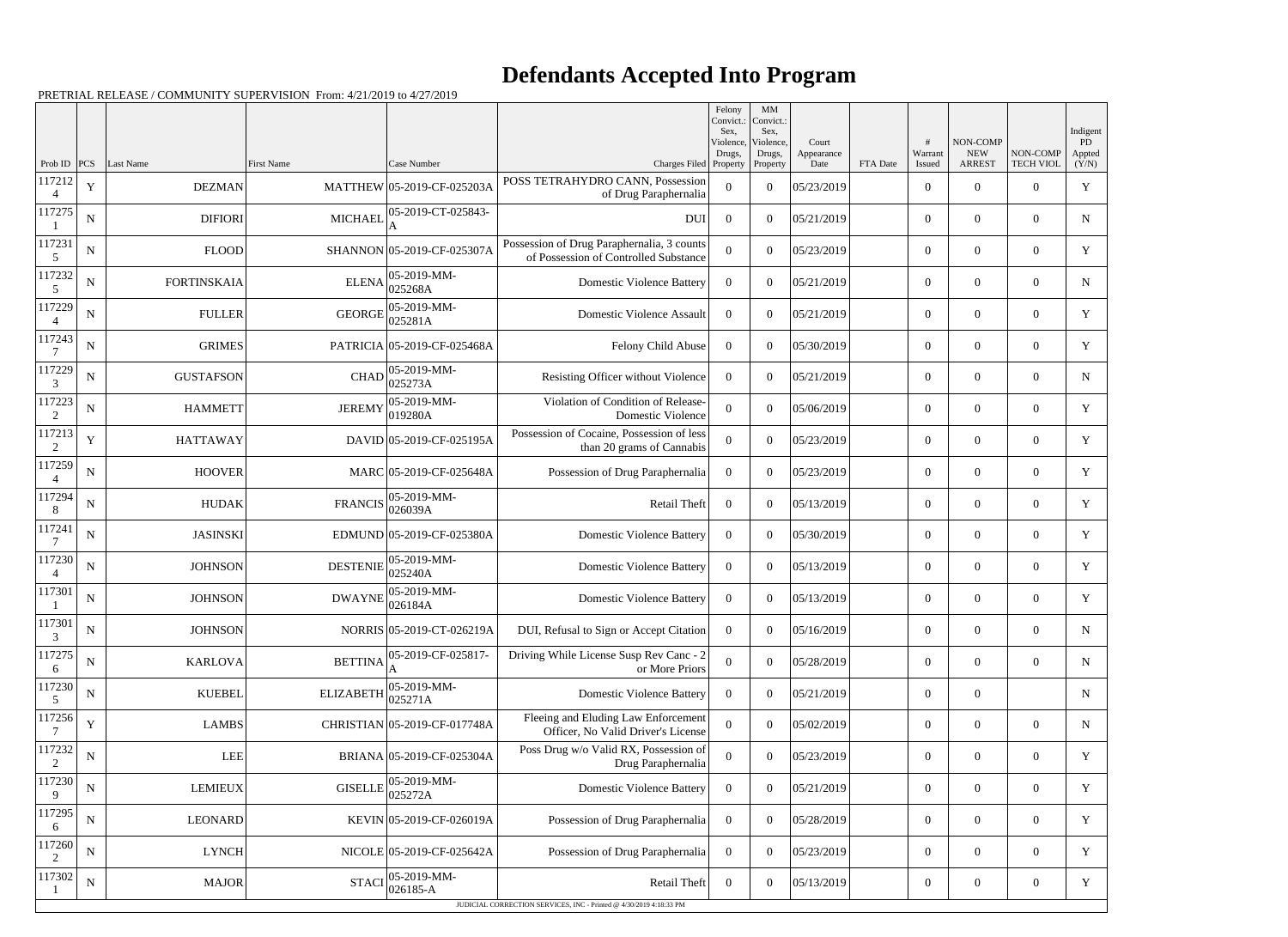## **Defendants Accepted Into Program**

|             |             |                    |                   |                              |                                                                                     | Felony<br>Convict.:<br>Sex. | MM<br>Convict.:<br>Sex,         |                             |          |                        |                                         |                              | Indigent               |
|-------------|-------------|--------------------|-------------------|------------------------------|-------------------------------------------------------------------------------------|-----------------------------|---------------------------------|-----------------------------|----------|------------------------|-----------------------------------------|------------------------------|------------------------|
| Prob ID     | PCS         | Last Name          | <b>First Name</b> | Case Number                  | Charges Filed Property                                                              | Violence,<br>Drugs,         | Violence.<br>Drugs,<br>Property | Court<br>Appearance<br>Date | FTA Date | #<br>Warrant<br>Issued | NON-COMP<br><b>NEW</b><br><b>ARREST</b> | NON-COMP<br><b>TECH VIOL</b> | PD.<br>Appted<br>(Y/N) |
| 117212<br>4 | $\mathbf Y$ | <b>DEZMAN</b>      |                   | MATTHEW 05-2019-CF-025203A   | POSS TETRAHYDRO CANN, Possession<br>of Drug Paraphernalia                           | $\theta$                    | $\Omega$                        | 05/23/2019                  |          | $\overline{0}$         | $\theta$                                | $\Omega$                     | Y                      |
| 117275      | $\mathbf N$ | <b>DIFIORI</b>     | <b>MICHAEL</b>    | 05-2019-CT-025843-           | <b>DUI</b>                                                                          | $\theta$                    | $\Omega$                        | 05/21/2019                  |          | $\overline{0}$         | $\overline{0}$                          | $\Omega$                     | N                      |
| 117231<br>5 | $\mathbf N$ | <b>FLOOD</b>       |                   | SHANNON 05-2019-CF-025307A   | Possession of Drug Paraphernalia, 3 counts<br>of Possession of Controlled Substance | $\Omega$                    | $\Omega$                        | 05/23/2019                  |          | $\theta$               | $\Omega$                                | $\Omega$                     | Y                      |
| 117232<br>5 | N           | <b>FORTINSKAIA</b> | <b>ELENA</b>      | 05-2019-MM-<br>025268A       | <b>Domestic Violence Battery</b>                                                    | $\Omega$                    | $\Omega$                        | 05/21/2019                  |          | $\overline{0}$         | $\overline{0}$                          | $\Omega$                     | N                      |
| 117229      | $\mathbf N$ | <b>FULLER</b>      | <b>GEORGE</b>     | 05-2019-MM-<br>025281A       | <b>Domestic Violence Assault</b>                                                    | $\Omega$                    | $\Omega$                        | 05/21/2019                  |          | $\overline{0}$         | $\theta$                                | $\Omega$                     | Y                      |
| 117243      | N           | <b>GRIMES</b>      |                   | PATRICIA 05-2019-CF-025468A  | Felony Child Abuse                                                                  | $\theta$                    | $\Omega$                        | 05/30/2019                  |          | $\overline{0}$         | $\overline{0}$                          | $\Omega$                     | Y                      |
| 117229<br>3 | N           | <b>GUSTAFSON</b>   | CHAD              | 05-2019-MM-<br>025273A       | Resisting Officer without Violence                                                  | $\overline{0}$              | $\Omega$                        | 05/21/2019                  |          | $\theta$               | $\theta$                                | $\Omega$                     | N                      |
| 117223<br>2 | N           | <b>HAMMETT</b>     | <b>JEREMY</b>     | 05-2019-MM-<br> 019280A      | Violation of Condition of Release-<br>Domestic Violence                             | $\Omega$                    | $\Omega$                        | 05/06/2019                  |          | $\overline{0}$         | $\overline{0}$                          | $\Omega$                     | Y                      |
| 117213<br>2 | Y           | <b>HATTAWAY</b>    |                   | DAVID 05-2019-CF-025195A     | Possession of Cocaine, Possession of less<br>than 20 grams of Cannabis              | $\Omega$                    | $\Omega$                        | 05/23/2019                  |          | $\overline{0}$         | $\theta$                                | $\Omega$                     | $\mathbf Y$            |
| 117259      | N           | <b>HOOVER</b>      |                   | MARC 05-2019-CF-025648A      | Possession of Drug Paraphernalia                                                    | $\theta$                    | $\Omega$                        | 05/23/2019                  |          | $\overline{0}$         | $\Omega$                                | $\Omega$                     | Y                      |
| 117294<br>8 | $\mathbf N$ | <b>HUDAK</b>       | <b>FRANCIS</b>    | 05-2019-MM-<br> 026039A      | <b>Retail Theft</b>                                                                 | $\overline{0}$              | $\Omega$                        | 05/13/2019                  |          | $\theta$               | $\theta$                                | $\Omega$                     | Y                      |
| 117241      | $\mathbf N$ | <b>JASINSKI</b>    |                   | EDMUND 05-2019-CF-025380A    | <b>Domestic Violence Battery</b>                                                    | $\Omega$                    | $\Omega$                        | 05/30/2019                  |          | $\overline{0}$         | $\overline{0}$                          | $\Omega$                     | Y                      |
| 117230<br>4 | $\mathbf N$ | <b>JOHNSON</b>     | <b>DESTENIE</b>   | 05-2019-MM-<br>025240A       | <b>Domestic Violence Battery</b>                                                    | $\Omega$                    | $\Omega$                        | 05/13/2019                  |          | $\overline{0}$         | $\theta$                                | $\Omega$                     | Y                      |
| 117301      | $\mathbf N$ | <b>JOHNSON</b>     | <b>DWAYNE</b>     | $ 05-2019-MM -$<br>026184A   | <b>Domestic Violence Battery</b>                                                    | $\theta$                    | $\Omega$                        | 05/13/2019                  |          | $\overline{0}$         | $\Omega$                                | $\Omega$                     | Y                      |
| 117301<br>3 | N           | <b>JOHNSON</b>     |                   | NORRIS 05-2019-CT-026219A    | DUI, Refusal to Sign or Accept Citation                                             | $\bf{0}$                    | $\overline{0}$                  | 05/16/2019                  |          | $\boldsymbol{0}$       | $\overline{0}$                          | $\boldsymbol{0}$             | ${\bf N}$              |
| 117275<br>6 | ${\bf N}$   | <b>KARLOVA</b>     | <b>BETTINA</b>    | 05-2019-CF-025817-           | Driving While License Susp Rev Canc - 2<br>or More Priors                           | $\overline{0}$              | $\boldsymbol{0}$                | 05/28/2019                  |          | $\boldsymbol{0}$       | $\boldsymbol{0}$                        | $\boldsymbol{0}$             | N                      |
| 117230<br>5 | $\mathbf N$ | <b>KUEBEL</b>      | <b>ELIZABETH</b>  | 05-2019-MM-<br>025271A       | <b>Domestic Violence Battery</b>                                                    | $\overline{0}$              | $\overline{0}$                  | 05/21/2019                  |          | $\boldsymbol{0}$       | $\boldsymbol{0}$                        |                              | $\mathbf N$            |
| 117256      | Y           | <b>LAMBS</b>       |                   | CHRISTIAN 05-2019-CF-017748A | Fleeing and Eluding Law Enforcement<br>Officer, No Valid Driver's License           | $\overline{0}$              | $\overline{0}$                  | 05/02/2019                  |          | $\boldsymbol{0}$       | $\boldsymbol{0}$                        | $\overline{0}$               | N                      |
| 117232<br>2 | $\mathbf N$ | <b>LEE</b>         |                   | BRIANA 05-2019-CF-025304A    | Poss Drug w/o Valid RX, Possession of<br>Drug Paraphernalia                         | $\Omega$                    | $\overline{0}$                  | 05/23/2019                  |          | $\boldsymbol{0}$       | $\overline{0}$                          | $\overline{0}$               | Y                      |
| 117230      | ${\bf N}$   | <b>LEMIEUX</b>     | <b>GISELLE</b>    | 05-2019-MM-<br>025272A       | <b>Domestic Violence Battery</b>                                                    | $\overline{0}$              | $\overline{0}$                  | 05/21/2019                  |          | $\overline{0}$         | $\overline{0}$                          | $\overline{0}$               | Y                      |
| 117295<br>6 | $\mathbf N$ | <b>LEONARD</b>     |                   | KEVIN 05-2019-CF-026019A     | Possession of Drug Paraphernalia                                                    | $\overline{0}$              | $\overline{0}$                  | 05/28/2019                  |          | $\boldsymbol{0}$       | $\boldsymbol{0}$                        | $\overline{0}$               | Y                      |
| 117260<br>2 | $\mathbf N$ | <b>LYNCH</b>       |                   | NICOLE 05-2019-CF-025642A    | Possession of Drug Paraphernalia                                                    | $\overline{0}$              | $\overline{0}$                  | 05/23/2019                  |          | $\overline{0}$         | $\overline{0}$                          | $\overline{0}$               | Y                      |
| 117302      | $\mathbf N$ | <b>MAJOR</b>       | <b>STACI</b>      | 05-2019-MM-<br>$ 026185 - A$ | Retail Theft                                                                        | $\overline{0}$              | $\boldsymbol{0}$                | 05/13/2019                  |          | $\boldsymbol{0}$       | $\overline{0}$                          | $\overline{0}$               | Y                      |
|             |             |                    |                   |                              | JUDICIAL CORRECTION SERVICES, INC - Printed @ 4/30/2019 4:18:33 PM                  |                             |                                 |                             |          |                        |                                         |                              |                        |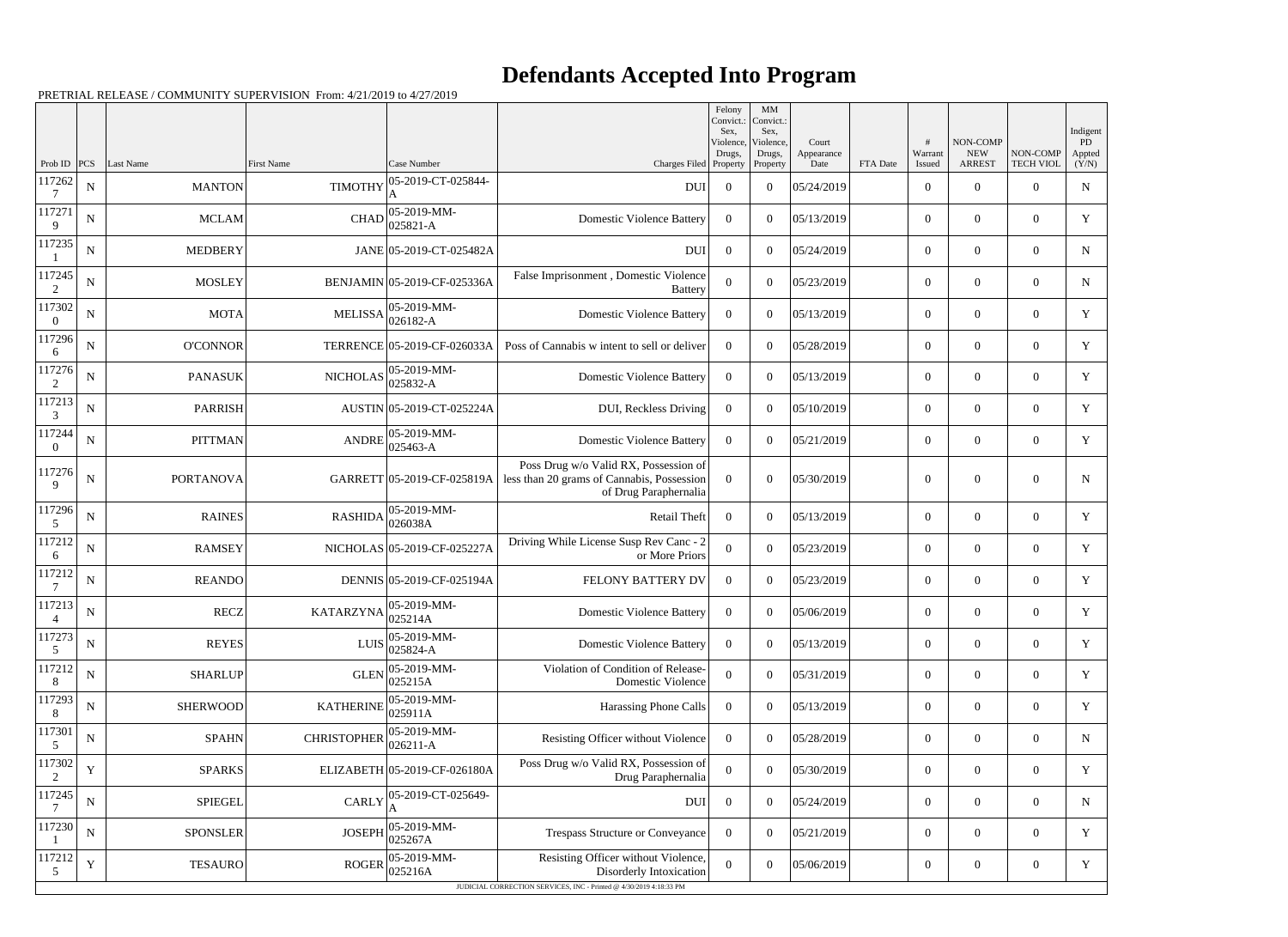## **Defendants Accepted Into Program**

|                    |             |                  |                                      |                              |                                                                                                                                      | Felony<br>Convict.:<br>Sex,     | MM<br>Convict.:<br>Sex,         |                             |          |                   |                                         |                              | Indigent              |
|--------------------|-------------|------------------|--------------------------------------|------------------------------|--------------------------------------------------------------------------------------------------------------------------------------|---------------------------------|---------------------------------|-----------------------------|----------|-------------------|-----------------------------------------|------------------------------|-----------------------|
| Prob ID            | PCS         | Last Name        | <b>First Name</b>                    | Case Number                  | Charges Filed                                                                                                                        | Violence,<br>Drugs,<br>Property | Violence,<br>Drugs,<br>Property | Court<br>Appearance<br>Date | FTA Date | Warrant<br>Issued | NON-COMP<br><b>NEW</b><br><b>ARREST</b> | NON-COMP<br><b>TECH VIOL</b> | PD<br>Appted<br>(Y/N) |
| 117262             | N           | <b>MANTON</b>    | <b>TIMOTHY</b>                       | 05-2019-CT-025844-<br>A      | DUI                                                                                                                                  | $\overline{0}$                  | $\overline{0}$                  | 05/24/2019                  |          | $\overline{0}$    | $\overline{0}$                          | $\Omega$                     | ${\bf N}$             |
| 117271<br>9        | N           | <b>MCLAM</b>     | <b>CHAD</b>                          | 05-2019-MM-<br>025821-A      | <b>Domestic Violence Battery</b>                                                                                                     | $\Omega$                        | $\theta$                        | 05/13/2019                  |          | $\overline{0}$    | $\overline{0}$                          | $\overline{0}$               | Y                     |
| 117235             | N           | <b>MEDBERY</b>   |                                      | JANE 05-2019-CT-025482A      | <b>DUI</b>                                                                                                                           | $\Omega$                        | $\theta$                        | 05/24/2019                  |          | $\overline{0}$    | $\overline{0}$                          | $\Omega$                     | N                     |
| 117245<br>2        | $\mathbf N$ | <b>MOSLEY</b>    |                                      | BENJAMIN 05-2019-CF-025336A  | False Imprisonment, Domestic Violence<br><b>Battery</b>                                                                              | $\Omega$                        | $\theta$                        | 05/23/2019                  |          | $\overline{0}$    | $\overline{0}$                          | $\overline{0}$               | N                     |
| 117302<br>$\theta$ | N           | <b>MOTA</b>      | $MELISSA$ 026182-A                   | 05-2019-MM-                  | <b>Domestic Violence Battery</b>                                                                                                     | $\Omega$                        | $\overline{0}$                  | 05/13/2019                  |          | $\overline{0}$    | $\overline{0}$                          | $\Omega$                     | Y                     |
| 117296<br>6        | N           | <b>O'CONNOR</b>  |                                      | TERRENCE 05-2019-CF-026033A  | Poss of Cannabis w intent to sell or deliver                                                                                         | $\Omega$                        | $\theta$                        | 05/28/2019                  |          | $\overline{0}$    | $\overline{0}$                          | $\overline{0}$               | Y                     |
| 117276<br>2        | N           | <b>PANASUK</b>   | <b>NICHOLAS</b>                      | 05-2019-MM-<br>025832-A      | <b>Domestic Violence Battery</b>                                                                                                     | $\overline{0}$                  | $\overline{0}$                  | 05/13/2019                  |          | $\overline{0}$    | $\overline{0}$                          | $\Omega$                     | Y                     |
| 117213<br>3        | $\mathbf N$ | <b>PARRISH</b>   |                                      | AUSTIN 05-2019-CT-025224A    | DUI, Reckless Driving                                                                                                                | $\theta$                        | $\theta$                        | 05/10/2019                  |          | $\overline{0}$    | $\overline{0}$                          | $\overline{0}$               | Y                     |
| 117244<br>$\theta$ | N           | <b>PITTMAN</b>   | <b>ANDRE</b>                         | 05-2019-MM-<br>$ 025463 - A$ | <b>Domestic Violence Battery</b>                                                                                                     | $\theta$                        | $\overline{0}$                  | 05/21/2019                  |          | $\overline{0}$    | $\overline{0}$                          | $\Omega$                     | Y                     |
| 117276<br>9        | N           | <b>PORTANOVA</b> |                                      | GARRETT 05-2019-CF-025819A   | Poss Drug w/o Valid RX, Possession of<br>less than 20 grams of Cannabis, Possession<br>of Drug Paraphernalia                         | $\Omega$                        | $\theta$                        | 05/30/2019                  |          | $\overline{0}$    | $\overline{0}$                          | $\overline{0}$               | N                     |
| 117296<br>5        | ${\bf N}$   | <b>RAINES</b>    | <b>RASHIDA</b>                       | 05-2019-MM-<br> 026038A      | Retail Theft                                                                                                                         | $\overline{0}$                  | $\overline{0}$                  | 05/13/2019                  |          | $\overline{0}$    | $\overline{0}$                          | $\theta$                     | Y                     |
| 117212<br>6        | N           | <b>RAMSEY</b>    |                                      | NICHOLAS 05-2019-CF-025227A  | Driving While License Susp Rev Canc - 2<br>or More Priors                                                                            | $\Omega$                        | $\theta$                        | 05/23/2019                  |          | $\overline{0}$    | $\overline{0}$                          | $\overline{0}$               | Y                     |
| 117212             | ${\bf N}$   | <b>REANDO</b>    |                                      | DENNIS 05-2019-CF-025194A    | FELONY BATTERY DV                                                                                                                    | $\theta$                        | $\Omega$                        | 05/23/2019                  |          | $\overline{0}$    | $\overline{0}$                          | $\Omega$                     | Y                     |
| 117213             | $\mathbf N$ | <b>RECZ</b>      | $KATARZYNA\Big _{025214A}^{0025214}$ | 05-2019-MM-                  | <b>Domestic Violence Battery</b>                                                                                                     | $\overline{0}$                  | $\overline{0}$                  | 05/06/2019                  |          | $\overline{0}$    | $\overline{0}$                          | $\overline{0}$               | Y                     |
| 117273<br>5        | ${\bf N}$   | <b>REYES</b>     | <b>LUIS</b>                          | 05-2019-MM-<br>025824-A      | <b>Domestic Violence Battery</b>                                                                                                     | $\overline{0}$                  | $\boldsymbol{0}$                | 05/13/2019                  |          | $\boldsymbol{0}$  | $\boldsymbol{0}$                        | $\overline{0}$               | Y                     |
| 117212<br>8        | $\mathbf N$ | <b>SHARLUP</b>   | <b>GLEN</b>                          | 05-2019-MM-<br>025215A       | Violation of Condition of Release-<br>Domestic Violence                                                                              | $\overline{0}$                  | $\boldsymbol{0}$                | 05/31/2019                  |          | $\overline{0}$    | $\boldsymbol{0}$                        | $\overline{0}$               | Y                     |
| 117293<br>8        | $\mathbf N$ | <b>SHERWOOD</b>  | <b>KATHERINE</b>                     | 05-2019-MM-<br>025911A       | Harassing Phone Calls                                                                                                                | $\overline{0}$                  | $\boldsymbol{0}$                | 05/13/2019                  |          | $\boldsymbol{0}$  | $\overline{0}$                          | $\overline{0}$               | Y                     |
| 117301<br>5        | ${\bf N}$   | <b>SPAHN</b>     | <b>CHRISTOPHER</b>                   | 05-2019-MM-<br>026211-A      | Resisting Officer without Violence                                                                                                   | $\overline{0}$                  | $\boldsymbol{0}$                | 05/28/2019                  |          | $\overline{0}$    | $\overline{0}$                          | $\overline{0}$               | $\mathbf N$           |
| 117302<br>2        | Y           | <b>SPARKS</b>    |                                      | ELIZABETH 05-2019-CF-026180A | Poss Drug w/o Valid RX, Possession of<br>Drug Paraphernalia                                                                          | $\overline{0}$                  | $\boldsymbol{0}$                | 05/30/2019                  |          | $\overline{0}$    | $\overline{0}$                          | $\overline{0}$               | Y                     |
| 117245             | $\mathbf N$ | <b>SPIEGEL</b>   | <b>CARLY</b>                         | 05-2019-CT-025649-<br>A      | <b>DUI</b>                                                                                                                           | $\overline{0}$                  | $\boldsymbol{0}$                | 05/24/2019                  |          | $\overline{0}$    | $\overline{0}$                          | $\overline{0}$               | N                     |
| 117230             | ${\bf N}$   | <b>SPONSLER</b>  | <b>JOSEPH</b>                        | 05-2019-MM-<br>025267A       | <b>Trespass Structure or Conveyance</b>                                                                                              | $\overline{0}$                  | $\boldsymbol{0}$                | 05/21/2019                  |          | $\overline{0}$    | $\overline{0}$                          | $\overline{0}$               | Y                     |
| 117212<br>5        | Y           | <b>TESAURO</b>   | <b>ROGER</b>                         | 05-2019-MM-<br>025216A       | Resisting Officer without Violence,<br>Disorderly Intoxication<br>JUDICIAL CORRECTION SERVICES, INC - Printed @ 4/30/2019 4:18:33 PM | $\overline{0}$                  | $\boldsymbol{0}$                | 05/06/2019                  |          | $\overline{0}$    | $\overline{0}$                          | $\boldsymbol{0}$             | Y                     |